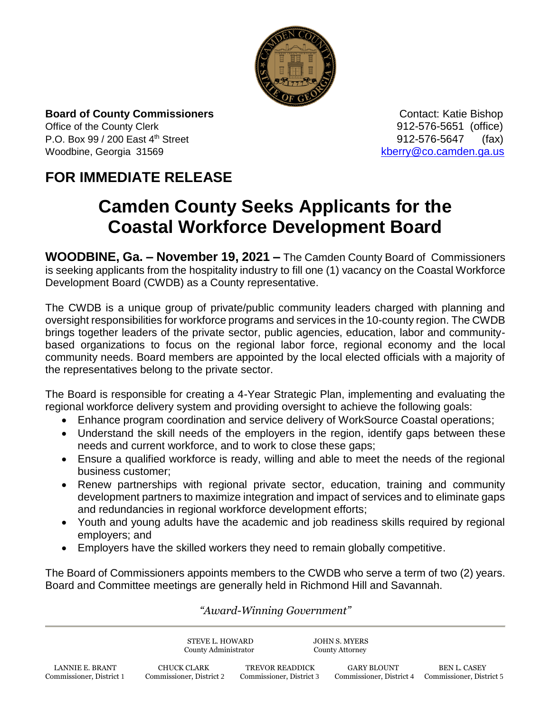

**Board of County Commissioners Contact: Katie Bishop** Contact: Katie Bishop Office of the County Clerk **912-576-5651** (office) P.O. Box 99 / 200 East 4<sup>th</sup> Street 912-576-5647 (fax) Woodbine, Georgia 31569 [kberry@co.camden.ga.us](mailto:kberry@co.camden.ga.us)

## **FOR IMMEDIATE RELEASE**

## **Camden County Seeks Applicants for the Coastal Workforce Development Board**

**WOODBINE, Ga. – November 19, 2021 –** The Camden County Board of Commissioners is seeking applicants from the hospitality industry to fill one (1) vacancy on the Coastal Workforce Development Board (CWDB) as a County representative.

The CWDB is a unique group of private/public community leaders charged with planning and oversight responsibilities for workforce programs and services in the 10-county region. The CWDB brings together leaders of the private sector, public agencies, education, labor and communitybased organizations to focus on the regional labor force, regional economy and the local community needs. Board members are appointed by the local elected officials with a majority of the representatives belong to the private sector.

The Board is responsible for creating a 4-Year Strategic Plan, implementing and evaluating the regional workforce delivery system and providing oversight to achieve the following goals:

- Enhance program coordination and service delivery of WorkSource Coastal operations;
- Understand the skill needs of the employers in the region, identify gaps between these needs and current workforce, and to work to close these gaps;
- Ensure a qualified workforce is ready, willing and able to meet the needs of the regional business customer;
- Renew partnerships with regional private sector, education, training and community development partners to maximize integration and impact of services and to eliminate gaps and redundancies in regional workforce development efforts;
- Youth and young adults have the academic and job readiness skills required by regional employers; and
- Employers have the skilled workers they need to remain globally competitive.

The Board of Commissioners appoints members to the CWDB who serve a term of two (2) years. Board and Committee meetings are generally held in Richmond Hill and Savannah.

## *"Award-Winning Government"*

STEVE L. HOWARD JOHN S. MYERS County Administrator County Attorney